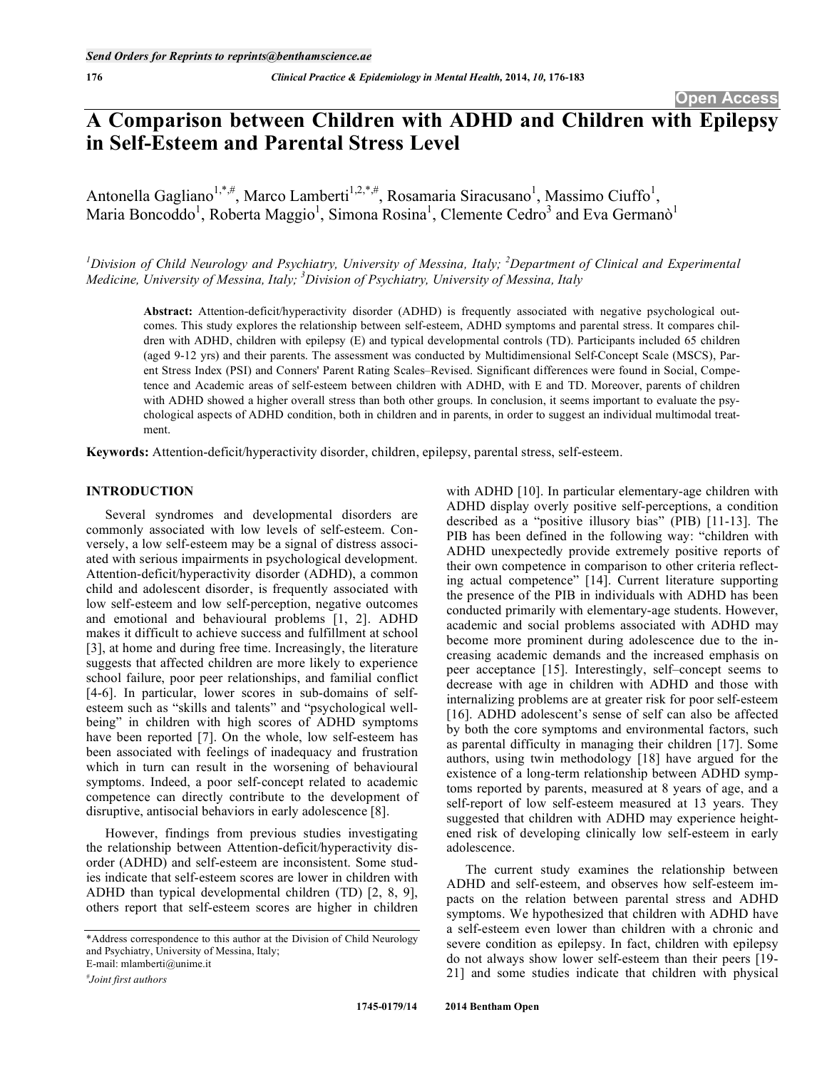# **A Comparison between Children with ADHD and Children with Epilepsy in Self-Esteem and Parental Stress Level**

Antonella Gagliano<sup>1,\*,#</sup>, Marco Lamberti<sup>1,2,\*,#</sup>, Rosamaria Siracusano<sup>1</sup>, Massimo Ciuffo<sup>1</sup>, Maria Boncoddo<sup>1</sup>, Roberta Maggio<sup>1</sup>, Simona Rosina<sup>1</sup>, Clemente Cedro<sup>3</sup> and Eva Germanò<sup>1</sup>

<sup>*1</sup>* Division of Child Neurology and Psychiatry, University of Messina, Italy; <sup>2</sup> Department of Clinical and Experimental</sup> *Medicine, University of Messina, Italy; 3 Division of Psychiatry, University of Messina, Italy*

**Abstract:** Attention-deficit/hyperactivity disorder (ADHD) is frequently associated with negative psychological outcomes. This study explores the relationship between self-esteem, ADHD symptoms and parental stress. It compares children with ADHD, children with epilepsy (E) and typical developmental controls (TD). Participants included 65 children (aged 9-12 yrs) and their parents. The assessment was conducted by Multidimensional Self-Concept Scale (MSCS), Parent Stress Index (PSI) and Conners' Parent Rating Scales–Revised. Significant differences were found in Social, Competence and Academic areas of self-esteem between children with ADHD, with E and TD. Moreover, parents of children with ADHD showed a higher overall stress than both other groups. In conclusion, it seems important to evaluate the psychological aspects of ADHD condition, both in children and in parents, in order to suggest an individual multimodal treatment.

**Keywords:** Attention-deficit/hyperactivity disorder, children, epilepsy, parental stress, self-esteem.

# **INTRODUCTION**

Several syndromes and developmental disorders are commonly associated with low levels of self-esteem. Conversely, a low self-esteem may be a signal of distress associated with serious impairments in psychological development. Attention-deficit/hyperactivity disorder (ADHD), a common child and adolescent disorder, is frequently associated with low self-esteem and low self-perception, negative outcomes and emotional and behavioural problems [1, 2]. ADHD makes it difficult to achieve success and fulfillment at school [3], at home and during free time. Increasingly, the literature suggests that affected children are more likely to experience school failure, poor peer relationships, and familial conflict [4-6]. In particular, lower scores in sub-domains of selfesteem such as "skills and talents" and "psychological wellbeing" in children with high scores of ADHD symptoms have been reported [7]. On the whole, low self-esteem has been associated with feelings of inadequacy and frustration which in turn can result in the worsening of behavioural symptoms. Indeed, a poor self-concept related to academic competence can directly contribute to the development of disruptive, antisocial behaviors in early adolescence [8].

However, findings from previous studies investigating the relationship between Attention-deficit/hyperactivity disorder (ADHD) and self-esteem are inconsistent. Some studies indicate that self-esteem scores are lower in children with ADHD than typical developmental children (TD) [2, 8, 9], others report that self-esteem scores are higher in children

E-mail: mlamberti@unime.it

with ADHD [10]. In particular elementary-age children with ADHD display overly positive self-perceptions, a condition described as a "positive illusory bias" (PIB) [11-13]. The PIB has been defined in the following way: "children with ADHD unexpectedly provide extremely positive reports of their own competence in comparison to other criteria reflecting actual competence" [14]. Current literature supporting the presence of the PIB in individuals with ADHD has been conducted primarily with elementary-age students. However, academic and social problems associated with ADHD may become more prominent during adolescence due to the increasing academic demands and the increased emphasis on peer acceptance [15]. Interestingly, self–concept seems to decrease with age in children with ADHD and those with internalizing problems are at greater risk for poor self-esteem [16]. ADHD adolescent's sense of self can also be affected by both the core symptoms and environmental factors, such as parental difficulty in managing their children [17]. Some authors, using twin methodology [18] have argued for the existence of a long-term relationship between ADHD symptoms reported by parents, measured at 8 years of age, and a self-report of low self-esteem measured at 13 years. They suggested that children with ADHD may experience heightened risk of developing clinically low self-esteem in early adolescence.

The current study examines the relationship between ADHD and self-esteem, and observes how self-esteem impacts on the relation between parental stress and ADHD symptoms. We hypothesized that children with ADHD have a self-esteem even lower than children with a chronic and severe condition as epilepsy. In fact, children with epilepsy do not always show lower self-esteem than their peers [19- 21] and some studies indicate that children with physical

<sup>\*</sup>Address correspondence to this author at the Division of Child Neurology and Psychiatry, University of Messina, Italy;

*<sup>#</sup> Joint first authors*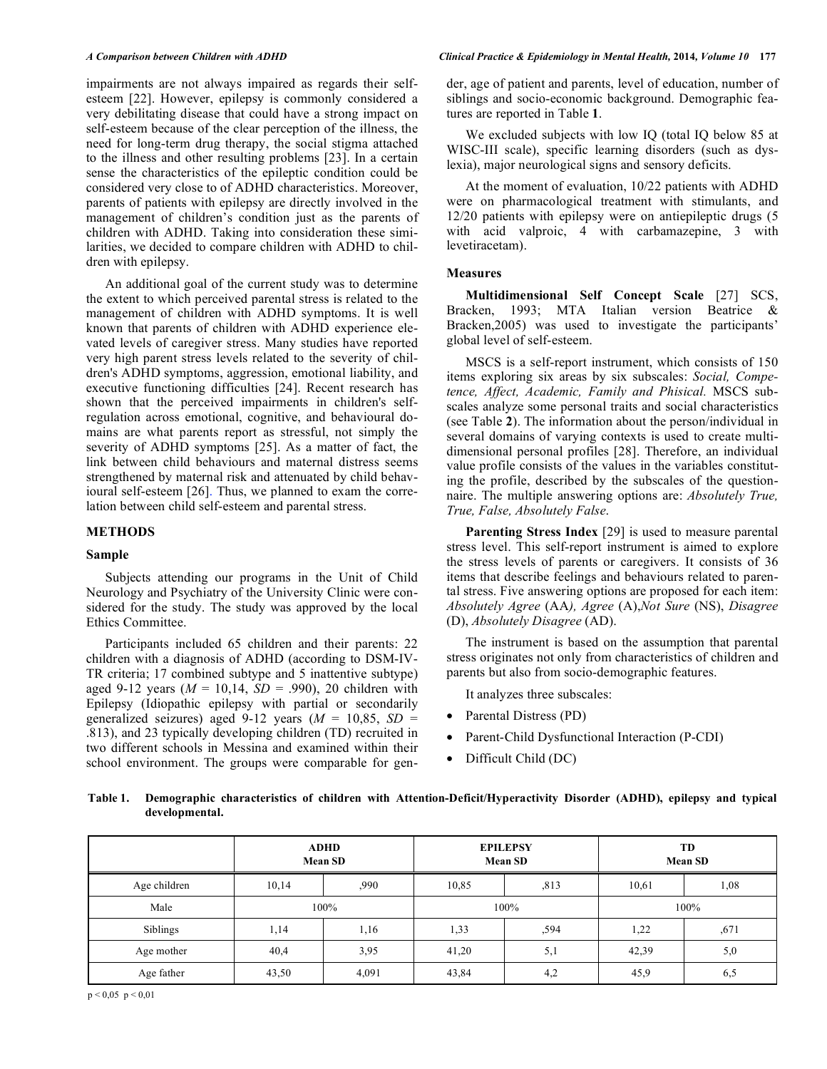impairments are not always impaired as regards their selfesteem [22]. However, epilepsy is commonly considered a very debilitating disease that could have a strong impact on self-esteem because of the clear perception of the illness, the need for long-term drug therapy, the social stigma attached to the illness and other resulting problems [23]. In a certain sense the characteristics of the epileptic condition could be considered very close to of ADHD characteristics. Moreover, parents of patients with epilepsy are directly involved in the management of children's condition just as the parents of children with ADHD. Taking into consideration these similarities, we decided to compare children with ADHD to children with epilepsy.

An additional goal of the current study was to determine the extent to which perceived parental stress is related to the management of children with ADHD symptoms. It is well known that parents of children with ADHD experience elevated levels of caregiver stress. Many studies have reported very high parent stress levels related to the severity of children's ADHD symptoms, aggression, emotional liability, and executive functioning difficulties [24]. Recent research has shown that the perceived impairments in children's selfregulation across emotional, cognitive, and behavioural domains are what parents report as stressful, not simply the severity of ADHD symptoms [25]. As a matter of fact, the link between child behaviours and maternal distress seems strengthened by maternal risk and attenuated by child behavioural self-esteem [26]. Thus, we planned to exam the correlation between child self-esteem and parental stress.

## **METHODS**

# **Sample**

Subjects attending our programs in the Unit of Child Neurology and Psychiatry of the University Clinic were considered for the study. The study was approved by the local Ethics Committee.

Participants included 65 children and their parents: 22 children with a diagnosis of ADHD (according to DSM-IV-TR criteria; 17 combined subtype and 5 inattentive subtype) aged 9-12 years (*M* = 10,14, *SD* = .990), 20 children with Epilepsy (Idiopathic epilepsy with partial or secondarily generalized seizures) aged 9-12 years  $(M = 10,85, SD =$ .813), and 23 typically developing children (TD) recruited in two different schools in Messina and examined within their school environment. The groups were comparable for gender, age of patient and parents, level of education, number of siblings and socio-economic background. Demographic features are reported in Table **1**.

We excluded subjects with low IQ (total IQ below 85 at WISC-III scale), specific learning disorders (such as dyslexia), major neurological signs and sensory deficits.

At the moment of evaluation, 10/22 patients with ADHD were on pharmacological treatment with stimulants, and 12/20 patients with epilepsy were on antiepileptic drugs (5 with acid valproic, 4 with carbamazepine, 3 with levetiracetam).

# **Measures**

**Multidimensional Self Concept Scale** [27] SCS, Bracken, 1993; MTA Italian version Beatrice & Bracken,2005) was used to investigate the participants' global level of self-esteem.

MSCS is a self-report instrument, which consists of 150 items exploring six areas by six subscales: *Social, Competence, Affect, Academic, Family and Phisical.* MSCS subscales analyze some personal traits and social characteristics (see Table **2**). The information about the person/individual in several domains of varying contexts is used to create multidimensional personal profiles [28]. Therefore, an individual value profile consists of the values in the variables constituting the profile, described by the subscales of the questionnaire. The multiple answering options are: *Absolutely True, True, False, Absolutely False*.

**Parenting Stress Index** [29] is used to measure parental stress level. This self-report instrument is aimed to explore the stress levels of parents or caregivers. It consists of 36 items that describe feelings and behaviours related to parental stress. Five answering options are proposed for each item: *Absolutely Agree* (AA*), Agree* (A),*Not Sure* (NS), *Disagree* (D), *Absolutely Disagree* (AD).

The instrument is based on the assumption that parental stress originates not only from characteristics of children and parents but also from socio-demographic features.

It analyzes three subscales:

- Parental Distress (PD)
- Parent-Child Dysfunctional Interaction (P-CDI)
- Difficult Child (DC)

**Table 1. Demographic characteristics of children with Attention-Deficit/Hyperactivity Disorder (ADHD), epilepsy and typical developmental.** 

|              |       | <b>ADHD</b><br><b>Mean SD</b> |       | <b>EPILEPSY</b><br><b>Mean SD</b> | TD<br><b>Mean SD</b> |      |  |
|--------------|-------|-------------------------------|-------|-----------------------------------|----------------------|------|--|
| Age children | 10,14 | ,990                          |       | ,813                              | 10,61                | 1,08 |  |
| Male         | 100%  |                               |       | 100%                              | 100%                 |      |  |
| Siblings     | 1,14  | 1,16                          | 1,33  | ,594                              | 1,22                 | ,671 |  |
| Age mother   | 40,4  | 3,95                          | 41,20 | 5,1                               | 42,39                | 5,0  |  |
| Age father   | 43,50 | 4,091                         | 43,84 | 4,2                               | 45,9                 | 6,5  |  |

 $p < 0.05$   $p < 0.01$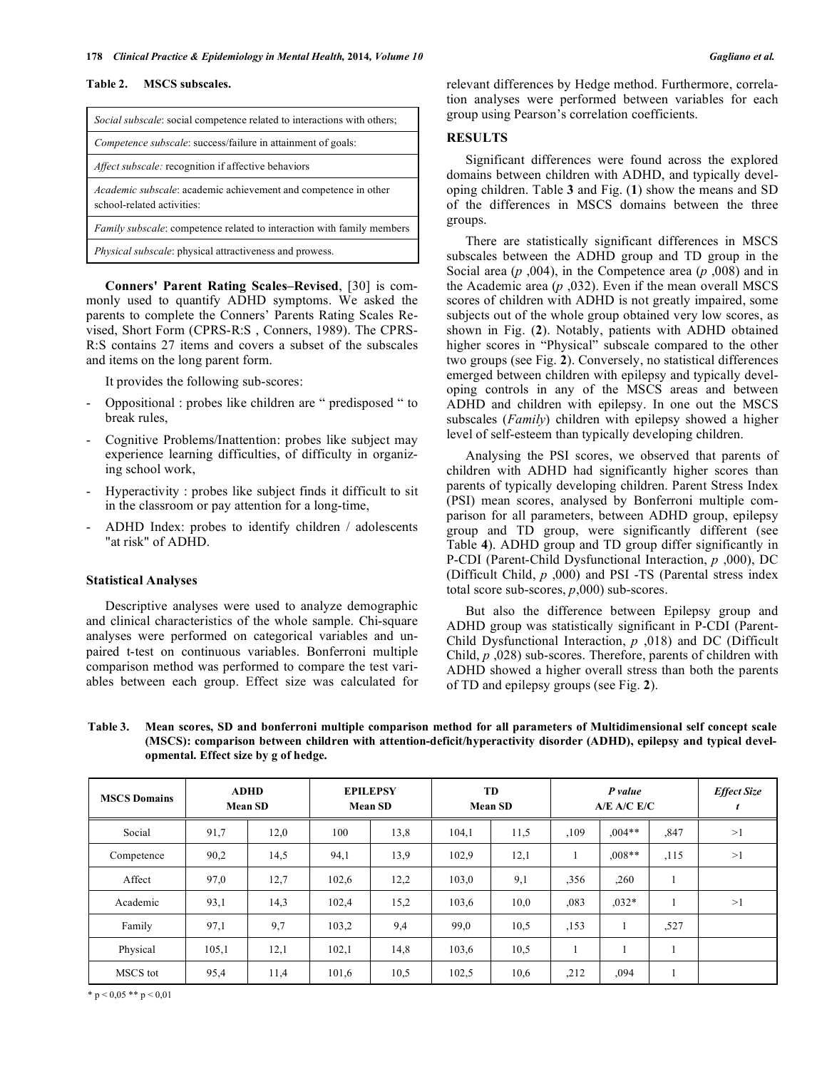#### **Table 2. MSCS subscales.**

| <i>Social subscale:</i> social competence related to interactions with others;                       |
|------------------------------------------------------------------------------------------------------|
| Competence subscale: success/failure in attainment of goals:                                         |
| <i>Affect subscale:</i> recognition if affective behaviors                                           |
| <i>Academic subscale:</i> academic achievement and competence in other<br>school-related activities: |
| <i>Family subscale:</i> competence related to interaction with family members                        |
| Physical subscale: physical attractiveness and prowess.                                              |

**Conners' Parent Rating Scales–Revised**, [30] is commonly used to quantify ADHD symptoms. We asked the parents to complete the Conners' Parents Rating Scales Revised, Short Form (CPRS-R:S , Conners, 1989). The CPRS-R:S contains 27 items and covers a subset of the subscales and items on the long parent form.

It provides the following sub-scores:

- Oppositional : probes like children are " predisposed " to break rules,
- Cognitive Problems/Inattention: probes like subject may experience learning difficulties, of difficulty in organizing school work,
- Hyperactivity : probes like subject finds it difficult to sit in the classroom or pay attention for a long-time,
- ADHD Index: probes to identify children / adolescents "at risk" of ADHD.

# **Statistical Analyses**

Descriptive analyses were used to analyze demographic and clinical characteristics of the whole sample. Chi-square analyses were performed on categorical variables and unpaired t-test on continuous variables. Bonferroni multiple comparison method was performed to compare the test variables between each group. Effect size was calculated for relevant differences by Hedge method. Furthermore, correlation analyses were performed between variables for each group using Pearson's correlation coefficients.

# **RESULTS**

Significant differences were found across the explored domains between children with ADHD, and typically developing children. Table **3** and Fig. (**1**) show the means and SD of the differences in MSCS domains between the three groups.

There are statistically significant differences in MSCS subscales between the ADHD group and TD group in the Social area (*p* ,004), in the Competence area (*p* ,008) and in the Academic area (*p* ,032). Even if the mean overall MSCS scores of children with ADHD is not greatly impaired, some subjects out of the whole group obtained very low scores, as shown in Fig. (**2**). Notably, patients with ADHD obtained higher scores in "Physical" subscale compared to the other two groups (see Fig. **2**). Conversely, no statistical differences emerged between children with epilepsy and typically developing controls in any of the MSCS areas and between ADHD and children with epilepsy. In one out the MSCS subscales (*Family*) children with epilepsy showed a higher level of self-esteem than typically developing children.

Analysing the PSI scores, we observed that parents of children with ADHD had significantly higher scores than parents of typically developing children. Parent Stress Index (PSI) mean scores, analysed by Bonferroni multiple comparison for all parameters, between ADHD group, epilepsy group and TD group, were significantly different (see Table **4**). ADHD group and TD group differ significantly in P-CDI (Parent-Child Dysfunctional Interaction, *p* ,000), DC (Difficult Child, *p* ,000) and PSI -TS (Parental stress index total score sub-scores, *p*,000) sub-scores.

But also the difference between Epilepsy group and ADHD group was statistically significant in P-CDI (Parent-Child Dysfunctional Interaction, *p* ,018) and DC (Difficult Child, *p* ,028) sub-scores. Therefore, parents of children with ADHD showed a higher overall stress than both the parents of TD and epilepsy groups (see Fig. **2**).

| Table 3. | Mean scores, SD and bonferroni multiple comparison method for all parameters of Multidimensional self concept scale   |
|----------|-----------------------------------------------------------------------------------------------------------------------|
|          | (MSCS): comparison between children with attention-deficit/hyperactivity disorder (ADHD), epilepsy and typical devel- |
|          | opmental. Effect size by g of hedge.                                                                                  |

| <b>MSCS Domains</b> | <b>ADHD</b><br><b>Mean SD</b> |      | <b>EPILEPSY</b><br><b>Mean SD</b> |      | TD<br><b>Mean SD</b> |      | P value<br>A/E A/C E/C |          |         | <b>Effect Size</b> |
|---------------------|-------------------------------|------|-----------------------------------|------|----------------------|------|------------------------|----------|---------|--------------------|
| Social              | 91,7                          | 12,0 | 100                               | 13,8 | 104,1                | 11,5 | ,109                   | $.004**$ | ,847    | >1                 |
| Competence          | 90,2                          | 14,5 | 94,1                              | 13,9 | 102,9                | 12,1 |                        | $.008**$ | , 115   | >1                 |
| Affect              | 97,0                          | 12,7 | 102,6                             | 12,2 | 103,0                | 9,1  | ,356                   | ,260     | $\perp$ |                    |
| Academic            | 93,1                          | 14,3 | 102,4                             | 15,2 | 103,6                | 10,0 | ,083                   | $.032*$  |         | >1                 |
| Family              | 97,1                          | 9,7  | 103,2                             | 9,4  | 99,0                 | 10.5 | ,153                   | 1        | ,527    |                    |
| Physical            | 105,1                         | 12,1 | 102,1                             | 14,8 | 103,6                | 10,5 |                        |          |         |                    |
| MSCS tot            | 95,4                          | 11,4 | 101,6                             | 10,5 | 102,5                | 10,6 | ,212                   | ,094     | -1      |                    |

\*  $p < 0.05$  \*\*  $p < 0.01$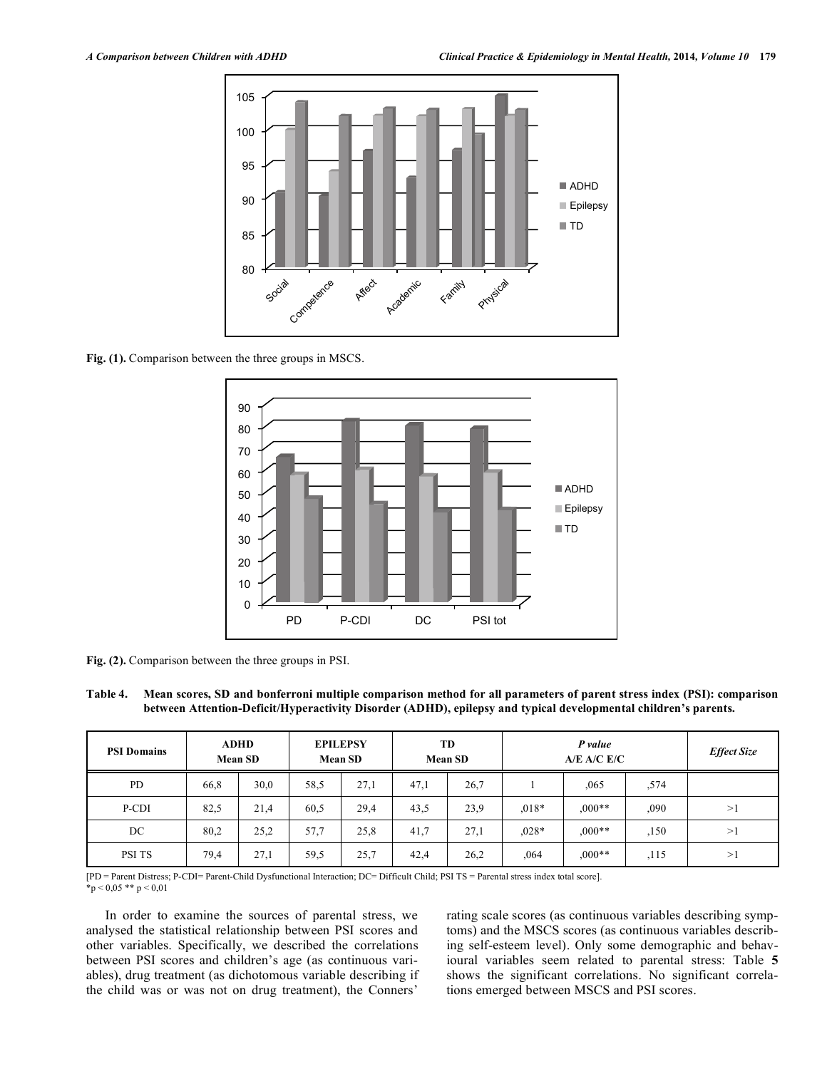

**Fig. (1).** Comparison between the three groups in MSCS.



**Fig. (2).** Comparison between the three groups in PSI.

**Table 4. Mean scores, SD and bonferroni multiple comparison method for all parameters of parent stress index (PSI): comparison between Attention-Deficit/Hyperactivity Disorder (ADHD), epilepsy and typical developmental children's parents.** 

| <b>PSI Domains</b> |      | <b>ADHD</b><br><b>Mean SD</b> |      | <b>EPILEPSY</b><br><b>Mean SD</b> |      | TD<br><b>Mean SD</b> | P value<br>A/E A/C E/C |          |      | <b>Effect Size</b> |
|--------------------|------|-------------------------------|------|-----------------------------------|------|----------------------|------------------------|----------|------|--------------------|
| PD                 | 66,8 | 30,0                          | 58,5 | 27,1                              | 47,1 | 26,7                 |                        | ,065     | ,574 |                    |
| P-CDI              | 82,5 | 21,4                          | 60.5 | 29,4                              | 43,5 | 23,9                 | $.018*$                | $0.00**$ | ,090 | >1                 |
| DC                 | 80,2 | 25,2                          | 57,7 | 25,8                              | 41,7 | 27,1                 | $0.028*$               | $0.00**$ | ,150 | >1                 |
| PSI TS             | 79,4 | 27,1                          | 59,5 | 25,7                              | 42,4 | 26,2                 | ,064                   | $,000**$ | ,115 | >1                 |

[PD = Parent Distress; P-CDI= Parent-Child Dysfunctional Interaction; DC= Difficult Child; PSI TS = Parental stress index total score].  $\bar{p}$  < 0,05 \*\* p < 0,01

In order to examine the sources of parental stress, we analysed the statistical relationship between PSI scores and other variables. Specifically, we described the correlations between PSI scores and children's age (as continuous variables), drug treatment (as dichotomous variable describing if the child was or was not on drug treatment), the Conners'

rating scale scores (as continuous variables describing symptoms) and the MSCS scores (as continuous variables describing self-esteem level). Only some demographic and behavioural variables seem related to parental stress: Table **5** shows the significant correlations. No significant correlations emerged between MSCS and PSI scores.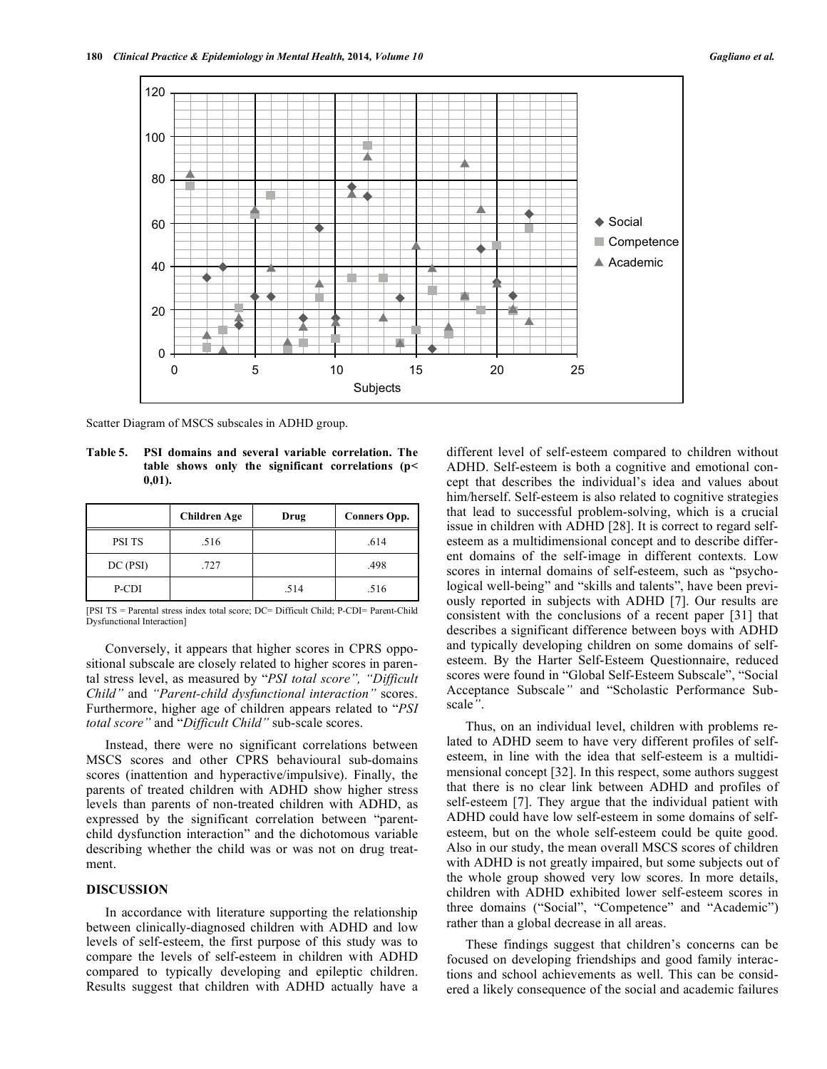

Scatter Diagram of MSCS subscales in ADHD group.

**Table 5. PSI domains and several variable correlation. The table shows only the significant correlations (p< 0,01).** 

|          | <b>Children Age</b> | Drug | <b>Conners Opp.</b> |
|----------|---------------------|------|---------------------|
| PSI TS   | .516                |      | .614                |
| DC (PSI) | .727                |      | .498                |
| P-CDI    |                     | .514 | .516                |

[PSI TS = Parental stress index total score; DC= Difficult Child; P-CDI= Parent-Child Dysfunctional Interaction]

Conversely, it appears that higher scores in CPRS oppositional subscale are closely related to higher scores in parental stress level, as measured by "*PSI total score", "Difficult Child"* and *"Parent-child dysfunctional interaction"* scores. Furthermore, higher age of children appears related to "*PSI total score"* and "*Difficult Child"* sub-scale scores.

Instead, there were no significant correlations between MSCS scores and other CPRS behavioural sub-domains scores (inattention and hyperactive/impulsive). Finally, the parents of treated children with ADHD show higher stress levels than parents of non-treated children with ADHD, as expressed by the significant correlation between "parentchild dysfunction interaction" and the dichotomous variable describing whether the child was or was not on drug treatment.

# **DISCUSSION**

In accordance with literature supporting the relationship between clinically-diagnosed children with ADHD and low levels of self-esteem, the first purpose of this study was to compare the levels of self-esteem in children with ADHD compared to typically developing and epileptic children. Results suggest that children with ADHD actually have a different level of self-esteem compared to children without ADHD. Self-esteem is both a cognitive and emotional concept that describes the individual's idea and values about him/herself. Self-esteem is also related to cognitive strategies that lead to successful problem-solving, which is a crucial issue in children with ADHD [28]. It is correct to regard selfesteem as a multidimensional concept and to describe different domains of the self-image in different contexts. Low scores in internal domains of self-esteem, such as "psychological well-being" and "skills and talents", have been previously reported in subjects with ADHD [7]. Our results are consistent with the conclusions of a recent paper [31] that describes a significant difference between boys with ADHD and typically developing children on some domains of selfesteem. By the Harter Self-Esteem Questionnaire, reduced scores were found in "Global Self-Esteem Subscale", "Social Acceptance Subscale*"* and "Scholastic Performance Subscale*"*.

Thus, on an individual level, children with problems related to ADHD seem to have very different profiles of selfesteem, in line with the idea that self-esteem is a multidimensional concept [32]. In this respect, some authors suggest that there is no clear link between ADHD and profiles of self-esteem [7]. They argue that the individual patient with ADHD could have low self-esteem in some domains of selfesteem, but on the whole self-esteem could be quite good. Also in our study, the mean overall MSCS scores of children with ADHD is not greatly impaired, but some subjects out of the whole group showed very low scores. In more details, children with ADHD exhibited lower self-esteem scores in three domains ("Social", "Competence" and "Academic") rather than a global decrease in all areas.

These findings suggest that children's concerns can be focused on developing friendships and good family interactions and school achievements as well. This can be considered a likely consequence of the social and academic failures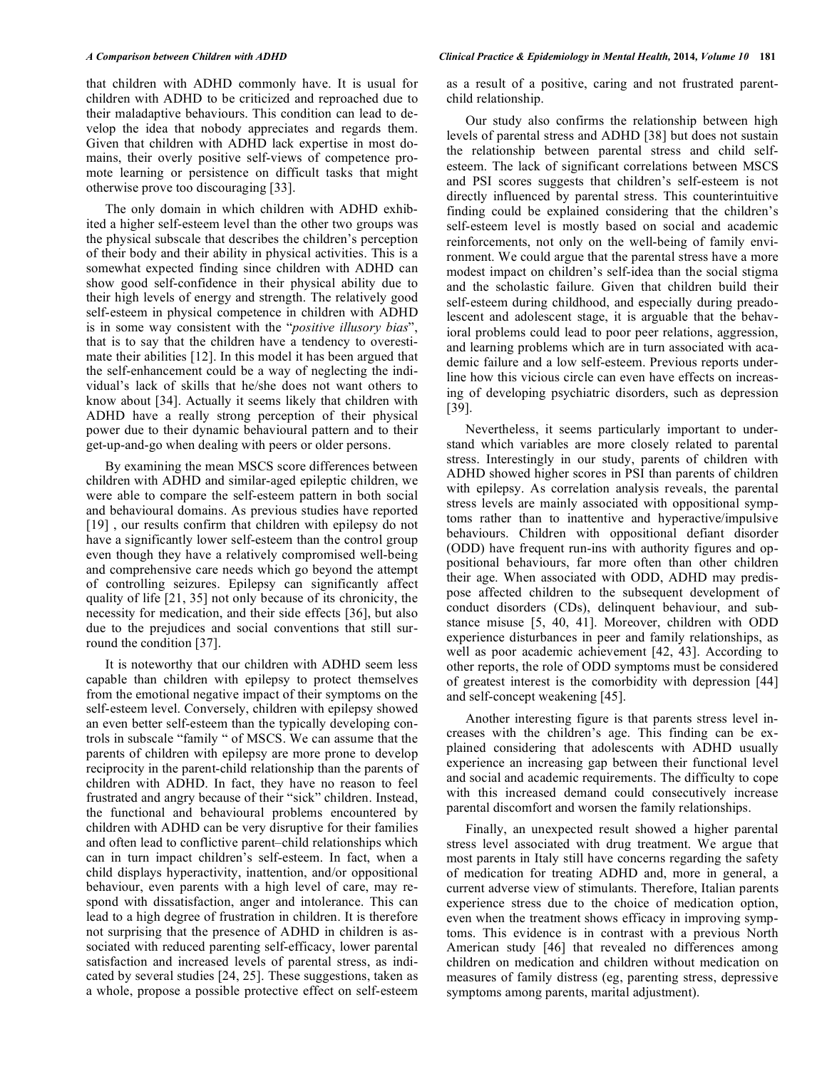that children with ADHD commonly have. It is usual for children with ADHD to be criticized and reproached due to their maladaptive behaviours. This condition can lead to develop the idea that nobody appreciates and regards them. Given that children with ADHD lack expertise in most domains, their overly positive self-views of competence promote learning or persistence on difficult tasks that might otherwise prove too discouraging [33].

The only domain in which children with ADHD exhibited a higher self-esteem level than the other two groups was the physical subscale that describes the children's perception of their body and their ability in physical activities. This is a somewhat expected finding since children with ADHD can show good self-confidence in their physical ability due to their high levels of energy and strength. The relatively good self-esteem in physical competence in children with ADHD is in some way consistent with the "*positive illusory bias*", that is to say that the children have a tendency to overestimate their abilities [12]. In this model it has been argued that the self-enhancement could be a way of neglecting the individual's lack of skills that he/she does not want others to know about [34]. Actually it seems likely that children with ADHD have a really strong perception of their physical power due to their dynamic behavioural pattern and to their get-up-and-go when dealing with peers or older persons.

By examining the mean MSCS score differences between children with ADHD and similar-aged epileptic children, we were able to compare the self-esteem pattern in both social and behavioural domains. As previous studies have reported [19], our results confirm that children with epilepsy do not have a significantly lower self-esteem than the control group even though they have a relatively compromised well-being and comprehensive care needs which go beyond the attempt of controlling seizures. Epilepsy can significantly affect quality of life [21, 35] not only because of its chronicity, the necessity for medication, and their side effects [36], but also due to the prejudices and social conventions that still surround the condition [37].

It is noteworthy that our children with ADHD seem less capable than children with epilepsy to protect themselves from the emotional negative impact of their symptoms on the self-esteem level. Conversely, children with epilepsy showed an even better self-esteem than the typically developing controls in subscale "family " of MSCS. We can assume that the parents of children with epilepsy are more prone to develop reciprocity in the parent-child relationship than the parents of children with ADHD. In fact, they have no reason to feel frustrated and angry because of their "sick" children. Instead, the functional and behavioural problems encountered by children with ADHD can be very disruptive for their families and often lead to conflictive parent–child relationships which can in turn impact children's self-esteem. In fact, when a child displays hyperactivity, inattention, and/or oppositional behaviour, even parents with a high level of care, may respond with dissatisfaction, anger and intolerance. This can lead to a high degree of frustration in children. It is therefore not surprising that the presence of ADHD in children is associated with reduced parenting self-efficacy, lower parental satisfaction and increased levels of parental stress, as indicated by several studies [24, 25]. These suggestions, taken as a whole, propose a possible protective effect on self-esteem

as a result of a positive, caring and not frustrated parentchild relationship.

Our study also confirms the relationship between high levels of parental stress and ADHD [38] but does not sustain the relationship between parental stress and child selfesteem. The lack of significant correlations between MSCS and PSI scores suggests that children's self-esteem is not directly influenced by parental stress. This counterintuitive finding could be explained considering that the children's self-esteem level is mostly based on social and academic reinforcements, not only on the well-being of family environment. We could argue that the parental stress have a more modest impact on children's self-idea than the social stigma and the scholastic failure. Given that children build their self-esteem during childhood, and especially during preadolescent and adolescent stage, it is arguable that the behavioral problems could lead to poor peer relations, aggression, and learning problems which are in turn associated with academic failure and a low self-esteem. Previous reports underline how this vicious circle can even have effects on increasing of developing psychiatric disorders, such as depression [39].

Nevertheless, it seems particularly important to understand which variables are more closely related to parental stress. Interestingly in our study, parents of children with ADHD showed higher scores in PSI than parents of children with epilepsy. As correlation analysis reveals, the parental stress levels are mainly associated with oppositional symptoms rather than to inattentive and hyperactive/impulsive behaviours. Children with oppositional defiant disorder (ODD) have frequent run-ins with authority figures and oppositional behaviours, far more often than other children their age. When associated with ODD, ADHD may predispose affected children to the subsequent development of conduct disorders (CDs), delinquent behaviour, and substance misuse [5, 40, 41]. Moreover, children with ODD experience disturbances in peer and family relationships, as well as poor academic achievement [42, 43]. According to other reports, the role of ODD symptoms must be considered of greatest interest is the comorbidity with depression [44] and self-concept weakening [45].

Another interesting figure is that parents stress level increases with the children's age. This finding can be explained considering that adolescents with ADHD usually experience an increasing gap between their functional level and social and academic requirements. The difficulty to cope with this increased demand could consecutively increase parental discomfort and worsen the family relationships.

Finally, an unexpected result showed a higher parental stress level associated with drug treatment. We argue that most parents in Italy still have concerns regarding the safety of medication for treating ADHD and, more in general, a current adverse view of stimulants. Therefore, Italian parents experience stress due to the choice of medication option, even when the treatment shows efficacy in improving symptoms. This evidence is in contrast with a previous North American study [46] that revealed no differences among children on medication and children without medication on measures of family distress (eg, parenting stress, depressive symptoms among parents, marital adjustment).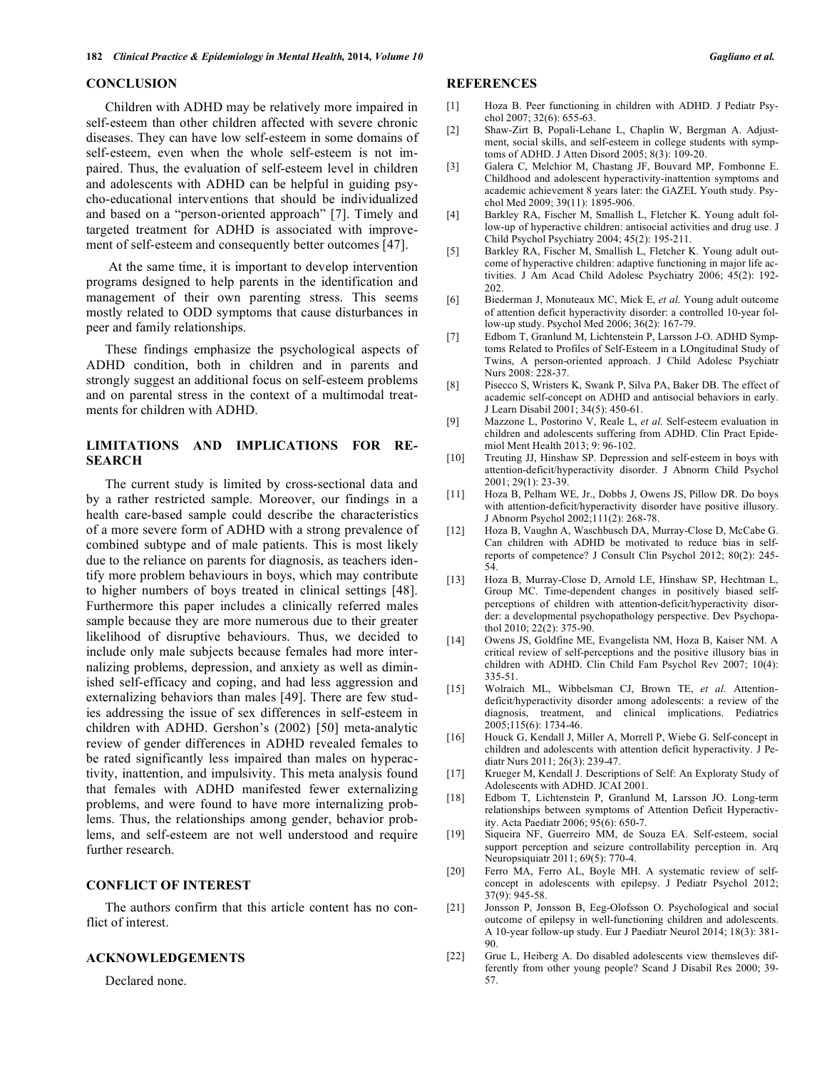#### **CONCLUSION**

Children with ADHD may be relatively more impaired in self-esteem than other children affected with severe chronic diseases. They can have low self-esteem in some domains of self-esteem, even when the whole self-esteem is not impaired. Thus, the evaluation of self-esteem level in children and adolescents with ADHD can be helpful in guiding psycho-educational interventions that should be individualized and based on a "person-oriented approach" [7]. Timely and targeted treatment for ADHD is associated with improvement of self-esteem and consequently better outcomes [47].

 At the same time, it is important to develop intervention programs designed to help parents in the identification and management of their own parenting stress. This seems mostly related to ODD symptoms that cause disturbances in peer and family relationships.

These findings emphasize the psychological aspects of ADHD condition, both in children and in parents and strongly suggest an additional focus on self-esteem problems and on parental stress in the context of a multimodal treatments for children with ADHD.

# **LIMITATIONS AND IMPLICATIONS FOR RE-SEARCH**

The current study is limited by cross-sectional data and by a rather restricted sample. Moreover, our findings in a health care-based sample could describe the characteristics of a more severe form of ADHD with a strong prevalence of combined subtype and of male patients. This is most likely due to the reliance on parents for diagnosis, as teachers identify more problem behaviours in boys, which may contribute to higher numbers of boys treated in clinical settings [48]. Furthermore this paper includes a clinically referred males sample because they are more numerous due to their greater likelihood of disruptive behaviours. Thus, we decided to include only male subjects because females had more internalizing problems, depression, and anxiety as well as diminished self-efficacy and coping, and had less aggression and externalizing behaviors than males [49]. There are few studies addressing the issue of sex differences in self-esteem in children with ADHD. Gershon's (2002) [50] meta-analytic review of gender differences in ADHD revealed females to be rated significantly less impaired than males on hyperactivity, inattention, and impulsivity. This meta analysis found that females with ADHD manifested fewer externalizing problems, and were found to have more internalizing problems. Thus, the relationships among gender, behavior problems, and self-esteem are not well understood and require further research.

# **CONFLICT OF INTEREST**

The authors confirm that this article content has no conflict of interest.

#### **ACKNOWLEDGEMENTS**

Declared none.

# **REFERENCES**

- [1] Hoza B. Peer functioning in children with ADHD. J Pediatr Psychol 2007; 32(6): 655-63.
- [2] Shaw-Zirt B, Popali-Lehane L, Chaplin W, Bergman A. Adjustment, social skills, and self-esteem in college students with symptoms of ADHD. J Atten Disord 2005; 8(3): 109-20.
- [3] Galera C, Melchior M, Chastang JF, Bouvard MP, Fombonne E. Childhood and adolescent hyperactivity-inattention symptoms and academic achievement 8 years later: the GAZEL Youth study. Psychol Med 2009; 39(11): 1895-906.
- [4] Barkley RA, Fischer M, Smallish L, Fletcher K. Young adult follow-up of hyperactive children: antisocial activities and drug use. J Child Psychol Psychiatry 2004; 45(2): 195-211.
- [5] Barkley RA, Fischer M, Smallish L, Fletcher K. Young adult outcome of hyperactive children: adaptive functioning in major life activities. J Am Acad Child Adolesc Psychiatry 2006; 45(2): 192- 202.
- [6] Biederman J, Monuteaux MC, Mick E, *et al.* Young adult outcome of attention deficit hyperactivity disorder: a controlled 10-year follow-up study. Psychol Med 2006; 36(2): 167-79.
- [7] Edbom T, Granlund M, Lichtenstein P, Larsson J-O. ADHD Symptoms Related to Profiles of Self-Esteem in a LOngitudinal Study of Twins, A person-oriented approach. J Child Adolesc Psychiatr Nurs 2008: 228-37.
- [8] Pisecco S, Wristers K, Swank P, Silva PA, Baker DB. The effect of academic self-concept on ADHD and antisocial behaviors in early. J Learn Disabil 2001; 34(5): 450-61.
- [9] Mazzone L, Postorino V, Reale L, *et al.* Self-esteem evaluation in children and adolescents suffering from ADHD. Clin Pract Epidemiol Ment Health 2013; 9: 96-102.
- [10] Treuting JJ, Hinshaw SP. Depression and self-esteem in boys with attention-deficit/hyperactivity disorder. J Abnorm Child Psychol 2001; 29(1): 23-39.
- [11] Hoza B, Pelham WE, Jr., Dobbs J, Owens JS, Pillow DR. Do boys with attention-deficit/hyperactivity disorder have positive illusory. J Abnorm Psychol 2002;111(2): 268-78.
- [12] Hoza B, Vaughn A, Waschbusch DA, Murray-Close D, McCabe G. Can children with ADHD be motivated to reduce bias in selfreports of competence? J Consult Clin Psychol 2012; 80(2): 245- 54.
- [13] Hoza B, Murray-Close D, Arnold LE, Hinshaw SP, Hechtman L, Group MC. Time-dependent changes in positively biased selfperceptions of children with attention-deficit/hyperactivity disorder: a developmental psychopathology perspective. Dev Psychopathol 2010; 22(2): 375-90.
- [14] Owens JS, Goldfine ME, Evangelista NM, Hoza B, Kaiser NM. A critical review of self-perceptions and the positive illusory bias in children with ADHD. Clin Child Fam Psychol Rev 2007; 10(4): 335-51.
- [15] Wolraich ML, Wibbelsman CJ, Brown TE, *et al.* Attentiondeficit/hyperactivity disorder among adolescents: a review of the diagnosis, treatment, and clinical implications. Pediatrics 2005;115(6): 1734-46.
- [16] Houck G, Kendall J, Miller A, Morrell P, Wiebe G. Self-concept in children and adolescents with attention deficit hyperactivity. J Pediatr Nurs 2011; 26(3): 239-47.
- [17] Krueger M, Kendall J. Descriptions of Self: An Exploraty Study of Adolescents with ADHD. JCAI 2001.
- [18] Edbom T, Lichtenstein P, Granlund M, Larsson JO. Long-term relationships between symptoms of Attention Deficit Hyperactivity. Acta Paediatr 2006; 95(6): 650-7.
- [19] Siqueira NF, Guerreiro MM, de Souza EA. Self-esteem, social support perception and seizure controllability perception in. Arq Neuropsiquiatr 2011; 69(5): 770-4.
- [20] Ferro MA, Ferro AL, Boyle MH. A systematic review of selfconcept in adolescents with epilepsy. J Pediatr Psychol 2012; 37(9): 945-58.
- [21] Jonsson P, Jonsson B, Eeg-Olofsson O. Psychological and social outcome of epilepsy in well-functioning children and adolescents. A 10-year follow-up study. Eur J Paediatr Neurol 2014; 18(3): 381- 90.
- [22] Grue L, Heiberg A. Do disabled adolescents view themsleves differently from other young people? Scand J Disabil Res 2000; 39- 57.